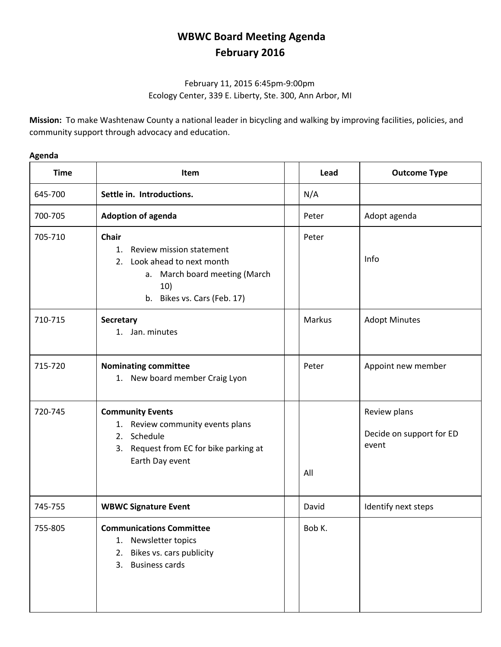## **WBWC Board Meeting Agenda February 2016**

## February 11, 2015 6:45pm‐9:00pm Ecology Center, 339 E. Liberty, Ste. 300, Ann Arbor, MI

**Mission:** To make Washtenaw County a national leader in bicycling and walking by improving facilities, policies, and community support through advocacy and education.

## **Agenda**

| <b>Time</b> | <b>Item</b>                                                                                                                                             | Lead   | <b>Outcome Type</b>                               |
|-------------|---------------------------------------------------------------------------------------------------------------------------------------------------------|--------|---------------------------------------------------|
| 645-700     | Settle in. Introductions.                                                                                                                               | N/A    |                                                   |
| 700-705     | <b>Adoption of agenda</b>                                                                                                                               | Peter  | Adopt agenda                                      |
| 705-710     | <b>Chair</b><br>Review mission statement<br>1.<br>Look ahead to next month<br>2.<br>a. March board meeting (March<br>10)<br>b. Bikes vs. Cars (Feb. 17) | Peter  | Info                                              |
| 710-715     | Secretary<br>1. Jan. minutes                                                                                                                            | Markus | <b>Adopt Minutes</b>                              |
| 715-720     | <b>Nominating committee</b><br>1. New board member Craig Lyon                                                                                           | Peter  | Appoint new member                                |
| 720-745     | <b>Community Events</b><br>1. Review community events plans<br>Schedule<br>2.<br>3. Request from EC for bike parking at<br>Earth Day event              | All    | Review plans<br>Decide on support for ED<br>event |
| 745-755     | <b>WBWC Signature Event</b>                                                                                                                             | David  | Identify next steps                               |
| 755-805     | <b>Communications Committee</b><br>Newsletter topics<br>1.<br>Bikes vs. cars publicity<br>2.<br><b>Business cards</b><br>3.                             | Bob K. |                                                   |